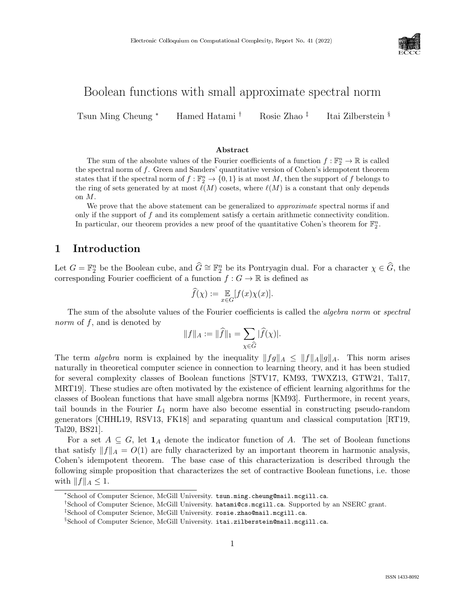

# Boolean functions with small approximate spectral norm

Tsun Ming Cheung <sup>∗</sup> Hamed Hatami † Rosie Zhao ‡ Itai Zilberstein §

#### Abstract

The sum of the absolute values of the Fourier coefficients of a function  $f : \mathbb{F}_2^n \to \mathbb{R}$  is called the spectral norm of  $f$ . Green and Sanders' quantitative version of Cohen's idempotent theorem states that if the spectral norm of  $f : \mathbb{F}_2^n \to \{0,1\}$  is at most M, then the support of f belongs to the ring of sets generated by at most  $\ell(M)$  cosets, where  $\ell(M)$  is a constant that only depends on M.

We prove that the above statement can be generalized to *approximate* spectral norms if and only if the support of f and its complement satisfy a certain arithmetic connectivity condition. In particular, our theorem provides a new proof of the quantitative Cohen's theorem for  $\mathbb{F}_2^n$ .

# 1 Introduction

Let  $G = \mathbb{F}_2^n$  be the Boolean cube, and  $\widehat{G} \cong \mathbb{F}_2^n$  be its Pontryagin dual. For a character  $\chi \in \widehat{G}$ , the corresponding Fourier coefficient of a function  $f : G \to \mathbb{R}$  is defined as

$$
\widehat{f}(\chi) := \mathop{\mathbb{E}}_{x \in G} [f(x)\chi(x)].
$$

The sum of the absolute values of the Fourier coefficients is called the *algebra norm* or *spectral* norm of f, and is denoted by

$$
||f||_A := ||\widehat{f}||_1 = \sum_{\chi \in \widehat{G}} |\widehat{f}(\chi)|.
$$

The term algebra norm is explained by the inequality  $||fg||_A \leq ||f||_A ||g||_A$ . This norm arises naturally in theoretical computer science in connection to learning theory, and it has been studied for several complexity classes of Boolean functions [\[STV17, KM93,](#page--1-0) [TWXZ13,](#page--1-1) [GTW21,](#page--1-2) [Tal17,](#page--1-3) [MRT19\]](#page--1-4). These studies are often motivated by the existence of efficient learning algorithms for the classes of Boolean functions that have small algebra norms [\[KM93\]](#page--1-0). Furthermore, in recent years, tail bounds in the Fourier  $L_1$  norm have also become essential in constructing pseudo-random generators [\[CHHL19,](#page--1-4) [RSV13,](#page--1-5) [FK18\]](#page--1-6) and separating quantum and classical computation [\[RT19,](#page--1-7) [Tal20, BS21\]](#page--1-8).

For a set  $A \subseteq G$ , let  $\mathbf{1}_A$  denote the indicator function of A. The set of Boolean functions that satisfy  $||f||_A = O(1)$  are fully characterized by an important theorem in harmonic analysis, Cohen's idempotent theorem. The base case of this characterization is described through the following simple proposition that characterizes the set of contractive Boolean functions, i.e. those with  $||f||_A \leq 1$ .

<sup>∗</sup>School of Computer Science, McGill University. tsun.ming.cheung@mail.mcgill.ca.

<sup>†</sup>School of Computer Science, McGill University. hatami@cs.mcgill.ca. Supported by an NSERC grant.

<sup>‡</sup>School of Computer Science, McGill University. rosie.zhao@mail.mcgill.ca.

<sup>§</sup>School of Computer Science, McGill University. itai.zilberstein@mail.mcgill.ca.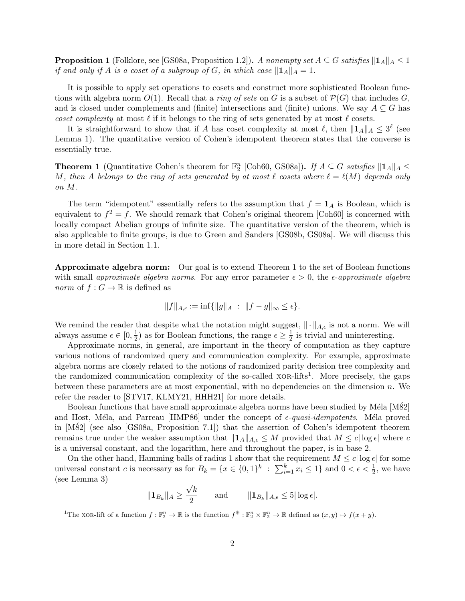**Proposition 1** (Folklore, see [\[GS08a,](#page-19-0) Proposition 1.2]). A nonempty set  $A \subseteq G$  satisfies  $||A||_A \leq 1$ if and only if A is a coset of a subgroup of G, in which case  $\|\mathbf{1}_A\|_A = 1$ .

It is possible to apply set operations to cosets and construct more sophisticated Boolean functions with algebra norm  $O(1)$ . Recall that a *ring of sets* on G is a subset of  $\mathcal{P}(G)$  that includes G, and is closed under complements and (finite) intersections and (finite) unions. We say  $A \subseteq G$  has coset complexity at most  $\ell$  if it belongs to the ring of sets generated by at most  $\ell$  cosets.

It is straightforward to show that if A has coset complexity at most  $\ell$ , then  $||\mathbf{1}_A||_A \leq 3^{\ell}$  (see [Lemma 1\)](#page-6-0). The quantitative version of Cohen's idempotent theorem states that the converse is essentially true.

<span id="page-1-0"></span>**Theorem 1** (Quantitative Cohen's theorem for  $\mathbb{F}_2^n$  [\[Coh60,](#page-19-1) [GS08a\]](#page-19-0)). If  $A \subseteq G$  satisfies  $\|\mathbf{1}_A\|_A \leq$ M, then A belongs to the ring of sets generated by at most  $\ell$  cosets where  $\ell = \ell(M)$  depends only on M.

The term "idempotent" essentially refers to the assumption that  $f = 1_A$  is Boolean, which is equivalent to  $f^2 = f$ . We should remark that Cohen's original theorem [\[Coh60\]](#page-19-1) is concerned with locally compact Abelian groups of infinite size. The quantitative version of the theorem, which is also applicable to finite groups, is due to Green and Sanders [\[GS08b,](#page-19-2) [GS08a\]](#page-19-0). We will discuss this in more detail in [Section 1.1.](#page-3-0)

Approximate algebra norm: Our goal is to extend [Theorem 1](#page-1-0) to the set of Boolean functions with small approximate algebra norms. For any error parameter  $\epsilon > 0$ , the  $\epsilon$ -approximate algebra *norm* of  $f : G \to \mathbb{R}$  is defined as

$$
||f||_{A,\epsilon} := \inf{||g||_A : ||f-g||_{\infty} \leq \epsilon}.
$$

We remind the reader that despite what the notation might suggest,  $\|\cdot\|_{A,\epsilon}$  is not a norm. We will always assume  $\epsilon \in [0, \frac{1}{2}]$  $(\frac{1}{2})$  as for Boolean functions, the range  $\epsilon \geq \frac{1}{2}$  $\frac{1}{2}$  is trivial and uninteresting.

Approximate norms, in general, are important in the theory of computation as they capture various notions of randomized query and communication complexity. For example, approximate algebra norms are closely related to the notions of randomized parity decision tree complexity and the randomized communication complexity of the so-called  $XOR$ -lifts<sup>[1](#page-1-1)</sup>. More precisely, the gaps between these parameters are at most exponential, with no dependencies on the dimension  $n$ . We refer the reader to [\[STV17,](#page-20-0) [KLMY21,](#page-19-3) [HHH21\]](#page-19-4) for more details.

Boolean functions that have small approximate algebra norms have been studied by Méla  $[M\&2]$ and Host, Méla, and Parreau [\[HMP86\]](#page-19-6) under the concept of  $\epsilon$ -quasi-idempotents. Méla proved in [M82] (see also [\[GS08a,](#page-19-0) Proposition 7.1]) that the assertion of Cohen's idempotent theorem remains true under the weaker assumption that  $||\mathbf{1}_A||_{A,\epsilon} \leq M$  provided that  $M \leq c |\log \epsilon|$  where c is a universal constant, and the logarithm, here and throughout the paper, is in base 2.

On the other hand, Hamming balls of radius 1 show that the requirement  $M \leq c |\log \epsilon|$  for some universal constant c is necessary as for  $B_k = \{x \in \{0,1\}^k : \sum_{i=1}^k x_i \leq 1\}$  and  $0 < \epsilon < \frac{1}{2}$ , we have (see [Lemma 3\)](#page-8-0) √

$$
\|\mathbf{1}_{B_k}\|_A \ge \frac{\sqrt{k}}{2} \quad \text{and} \quad \|\mathbf{1}_{B_k}\|_{A,\epsilon} \le 5|\log \epsilon|.
$$

<span id="page-1-1"></span><sup>&</sup>lt;sup>1</sup>The xor-lift of a function  $f: \mathbb{F}_2^n \to \mathbb{R}$  is the function  $f^{\oplus}: \mathbb{F}_2^n \times \mathbb{F}_2^n \to \mathbb{R}$  defined as  $(x, y) \mapsto f(x + y)$ .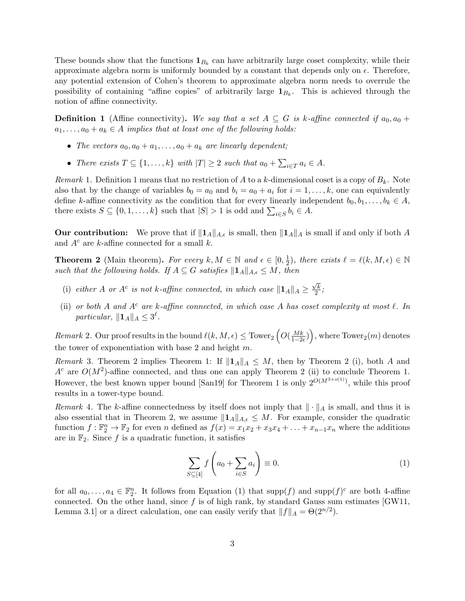These bounds show that the functions  $\mathbf{1}_{B_k}$  can have arbitrarily large coset complexity, while their approximate algebra norm is uniformly bounded by a constant that depends only on  $\epsilon$ . Therefore, any potential extension of Cohen's theorem to approximate algebra norm needs to overrule the possibility of containing "affine copies" of arbitrarily large  $\mathbf{1}_{B_k}$ . This is achieved through the notion of affine connectivity.

<span id="page-2-0"></span>**Definition 1** (Affine connectivity). We say that a set  $A \subseteq G$  is k-affine connected if  $a_0, a_0 +$  $a_1, \ldots, a_0 + a_k \in A$  implies that at least one of the following holds:

- The vectors  $a_0, a_0 + a_1, \ldots, a_0 + a_k$  are linearly dependent;
- There exists  $T \subseteq \{1, \ldots, k\}$  with  $|T| \geq 2$  such that  $a_0 + \sum_{i \in T} a_i \in A$ .

<span id="page-2-3"></span>Remark 1. [Definition 1](#page-2-0) means that no restriction of A to a k-dimensional coset is a copy of  $B_k$ . Note also that by the change of variables  $b_0 = a_0$  and  $b_i = a_0 + a_i$  for  $i = 1, \ldots, k$ , one can equivalently define k-affine connectivity as the condition that for every linearly independent  $b_0, b_1, \ldots, b_k \in A$ , there exists  $S \subseteq \{0, 1, \ldots, k\}$  such that  $|S| > 1$  is odd and  $\sum_{i \in S} b_i \in A$ .

Our contribution: We prove that if  $||\mathbf{1}_A||_{A,\epsilon}$  is small, then  $||\mathbf{1}_A||_A$  is small if and only if both A and  $A<sup>c</sup>$  are k-affine connected for a small k.

<span id="page-2-1"></span>**Theorem 2** (Main theorem). For every  $k, M \in \mathbb{N}$  and  $\epsilon \in [0, \frac{1}{2}]$  $(\frac{1}{2})$ , there exists  $\ell = \ell(k, M, \epsilon) \in \mathbb{N}$ such that the following holds. If  $A \subseteq G$  satisfies  $\|\mathbf{1}_A\|_{A,\epsilon} \leq M$ , then

- (i) either A or  $A^c$  is not k-affine connected, in which case  $||\mathbf{1}_A||_A \geq$  $\sqrt{k}$  $\frac{7k}{2}$ ;
- (ii) or both A and  $A^c$  are k-affine connected, in which case A has coset complexity at most  $\ell$ . In particular,  $||\mathbf{1}_A||_A \leq 3^{\ell}$ .

 $Remark\ 2.$  Our proof results in the bound  $\ell(k,M,\epsilon)\leq$  Tower $_2\left(O(\frac{Mk}{1-2\epsilon})\right)$ , where Tower $_2(m)$  denotes the tower of exponentiation with base 2 and height  $m$ .

*Remark* 3. [Theorem 2](#page-2-1) implies [Theorem 1:](#page-1-0) If  $||1_A||_A \leq M$ , then by [Theorem 2](#page-2-1) (i), both A and  $A<sup>c</sup>$  are  $O(M<sup>2</sup>)$ -affine connected, and thus one can apply [Theorem 2](#page-2-1) (ii) to conclude [Theorem 1.](#page-1-0) However, the best known upper bound [\[San19\]](#page-20-1) for [Theorem 1](#page-1-0) is only  $2^{O(M^{3+o(1)})}$ , while this proof results in a tower-type bound.

Remark 4. The k-affine connectedness by itself does not imply that  $\|\cdot\|_A$  is small, and thus it is also essential that in [Theorem 2,](#page-2-1) we assume  $||\mathbf{1}_A||_{A,\epsilon} \leq M$ . For example, consider the quadratic function  $f: \mathbb{F}_2^n \to \mathbb{F}_2$  for even n defined as  $f(x) = x_1x_2 + x_3x_4 + \ldots + x_{n-1}x_n$  where the additions are in  $\mathbb{F}_2$ . Since f is a quadratic function, it satisfies

<span id="page-2-2"></span>
$$
\sum_{S \subseteq [4]} f\left(a_0 + \sum_{i \in S} a_i\right) \equiv 0. \tag{1}
$$

for all  $a_0, \ldots, a_4 \in \mathbb{F}_2^n$ . It follows from [Equation \(1\)](#page-2-2) that  $\text{supp}(f)$  and  $\text{supp}(f)^c$  are both 4-affine connected. On the other hand, since  $f$  is of high rank, by standard Gauss sum estimates [\[GW11,](#page-19-7) Lemma 3.1] or a direct calculation, one can easily verify that  $||f||_A = \Theta(2^{n/2})$ .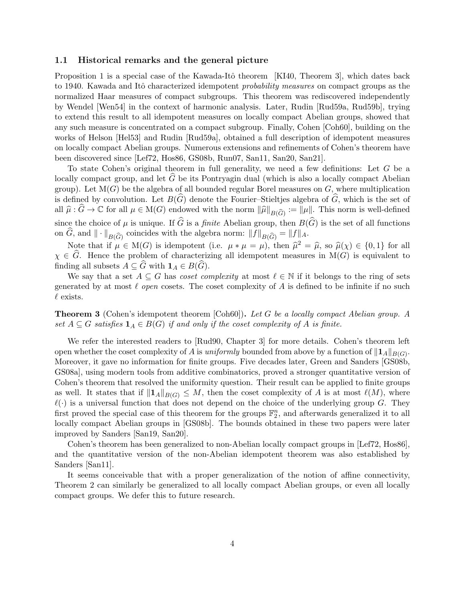### <span id="page-3-0"></span>1.1 Historical remarks and the general picture

[Proposition 1](#page--1-9) is a special case of the Kawada-Itô theorem [\[KI40,](#page-19-8) Theorem 3], which dates back to 1940. Kawada and Itô characterized idempotent *probability measures* on compact groups as the normalized Haar measures of compact subgroups. This theorem was rediscovered independently by Wendel [\[Wen54\]](#page--1-6) in the context of harmonic analysis. Later, Rudin [\[Rud59a,](#page-20-2) [Rud59b\]](#page-20-3), trying to extend this result to all idempotent measures on locally compact Abelian groups, showed that any such measure is concentrated on a compact subgroup. Finally, Cohen [\[Coh60\]](#page-19-1), building on the works of Helson [\[Hel53\]](#page-19-9) and Rudin [\[Rud59a\]](#page-20-2), obtained a full description of idempotent measures on locally compact Abelian groups. Numerous extensions and refinements of Cohen's theorem have been discovered since [\[Lef72,](#page-19-10) [Hos86,](#page-19-11) [GS08b,](#page-19-2) [Run07,](#page-20-4) [San11,](#page-20-5) [San20,](#page-20-6) [San21\]](#page-20-7).

To state Cohen's original theorem in full generality, we need a few definitions: Let G be a locally compact group, and let  $G$  be its Pontryagin dual (which is also a locally compact Abelian group). Let  $M(G)$  be the algebra of all bounded regular Borel measures on G, where multiplication is defined by convolution. Let  $B(\widehat{G})$  denote the Fourier–Stieltjes algebra of  $\widehat{G}$ , which is the set of all  $\hat{\mu}$ :  $\hat{G} \to \mathbb{C}$  for all  $\mu \in M(G)$  endowed with the norm  $\|\hat{\mu}\|_{B(\widehat{G})} := \|\mu\|$ . This norm is well-defined since the choice of  $\mu$  is unique. If  $\widehat{G}$  is a *finite* Abelian group, then  $B(\widehat{G})$  is the set of all functions on G, and  $\|\cdot\|_{B(\widehat{G})}$  coincides with the algebra norm:  $||f||_{B(\widehat{G})} = ||f||_A$ .

Note that if  $\mu \in M(G)$  is idempotent (i.e.  $\mu * \mu = \mu$ ), then  $\hat{\mu}^2 = \hat{\mu}$ , so  $\hat{\mu}(\chi) \in \{0, 1\}$  for all  $\hat{C}$ . Hence the problem of characterizing all idempotent measures in  $M(C)$  is equivalent to  $\chi \in \widehat{G}$ . Hence the problem of characterizing all idempotent measures in M(G) is equivalent to finding all subsets  $A \subseteq \widehat{G}$  with  $\mathbf{1}_A \in B(\widehat{G})$ .

We say that a set  $A \subseteq G$  has *coset complexity* at most  $\ell \in \mathbb{N}$  if it belongs to the ring of sets generated by at most  $\ell$  open cosets. The coset complexity of A is defined to be infinite if no such  $\ell$  exists.

Theorem 3 (Cohen's idempotent theorem [\[Coh60\]](#page-19-1)). Let G be a locally compact Abelian group. A set  $A \subseteq G$  satisfies  $\mathbf{1}_A \in B(G)$  if and only if the coset complexity of A is finite.

We refer the interested readers to [\[Rud90,](#page-20-8) Chapter 3] for more details. Cohen's theorem left open whether the coset complexity of A is *uniformly* bounded from above by a function of  $\|\mathbf{1}_A\|_{B(G)}$ . Moreover, it gave no information for finite groups. Five decades later, Green and Sanders [\[GS08b,](#page-19-2) [GS08a\]](#page-19-0), using modern tools from additive combinatorics, proved a stronger quantitative version of Cohen's theorem that resolved the uniformity question. Their result can be applied to finite groups as well. It states that if  $||\mathbf{1}_A||_{B(G)} \leq M$ , then the coset complexity of A is at most  $\ell(M)$ , where  $\ell(\cdot)$  is a universal function that does not depend on the choice of the underlying group G. They first proved the special case of this theorem for the groups  $\mathbb{F}_2^n$ , and afterwards generalized it to all locally compact Abelian groups in [\[GS08b\]](#page-19-2). The bounds obtained in these two papers were later improved by Sanders [\[San19,](#page-20-1) [San20\]](#page-20-6).

Cohen's theorem has been generalized to non-Abelian locally compact groups in [\[Lef72,](#page-19-10) [Hos86\]](#page-19-11), and the quantitative version of the non-Abelian idempotent theorem was also established by Sanders [\[San11\]](#page-20-5).

It seems conceivable that with a proper generalization of the notion of affine connectivity, [Theorem 2](#page-2-1) can similarly be generalized to all locally compact Abelian groups, or even all locally compact groups. We defer this to future research.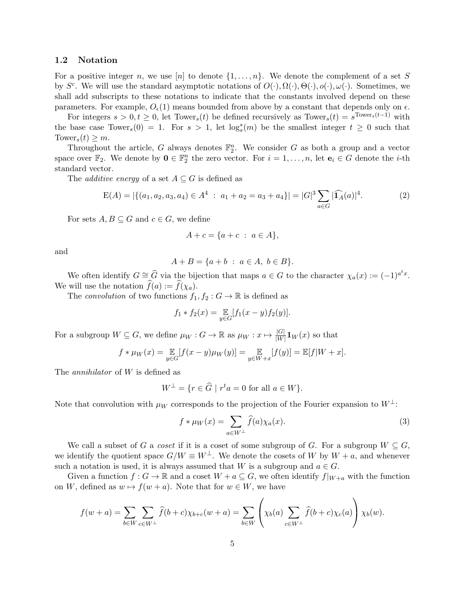#### 1.2 Notation

For a positive integer n, we use  $[n]$  to denote  $\{1,\ldots,n\}$ . We denote the complement of a set S by  $S^c$ . We will use the standard asymptotic notations of  $O(·), \Omega(·), O(·), o(·), \omega(·)$ . Sometimes, we shall add subscripts to these notations to indicate that the constants involved depend on these parameters. For example,  $O_{\epsilon}(1)$  means bounded from above by a constant that depends only on  $\epsilon$ .

For integers  $s > 0, t \geq 0$ , let Tower<sub>s</sub>(t) be defined recursively as Tower<sub>s</sub>(t) =  $s^{\text{Tower}_s(t-1)}$  with the base case Tower<sub>s</sub>(0) = 1. For  $s > 1$ , let  $\log_s^*(m)$  be the smallest integer  $t \geq 0$  such that Tower<sub>s</sub> $(t) \geq m$ .

Throughout the article, G always denotes  $\mathbb{F}_2^n$ . We consider G as both a group and a vector space over  $\mathbb{F}_2$ . We denote by  $\mathbf{0} \in \mathbb{F}_2^n$  the zero vector. For  $i = 1, \ldots, n$ , let  $\mathbf{e}_i \in G$  denote the *i*-th standard vector.

The *additive energy* of a set  $A \subseteq G$  is defined as

<span id="page-4-1"></span>
$$
E(A) = |\{(a_1, a_2, a_3, a_4) \in A^4 : a_1 + a_2 = a_3 + a_4\}| = |G|^3 \sum_{a \in G} |\widehat{1_A}(a)|^4.
$$
 (2)

For sets  $A, B \subseteq G$  and  $c \in G$ , we define

$$
A + c = \{a + c \; : \; a \in A\},\
$$

and

$$
A + B = \{a + b : a \in A, b \in B\}.
$$

We often identify  $G \cong \widehat{G}$  via the bijection that maps  $a \in G$  to the character  $\chi_a(x) := (-1)^{a^t x}$ . We will use the notation  $\widehat{f}(a) := \widehat{f}(\chi_a)$ .

The convolution of two functions  $f_1, f_2 : G \to \mathbb{R}$  is defined as

$$
f_1 * f_2(x) = \mathop{\mathbb{E}}_{y \in G} [f_1(x - y) f_2(y)].
$$

For a subgroup  $W \subseteq G$ , we define  $\mu_W : G \to \mathbb{R}$  as  $\mu_W : x \mapsto \frac{|G|}{|W|} \mathbf{1}_W(x)$  so that

$$
f * \mu_W(x) = \mathop{\mathbb{E}}_{y \in G} [f(x - y)\mu_W(y)] = \mathop{\mathbb{E}}_{y \in W + x} [f(y)] = \mathop{\mathbb{E}}[f|W + x].
$$

The *annihilator* of W is defined as

$$
W^{\perp} = \{ r \in \widehat{G} \mid r^t a = 0 \text{ for all } a \in W \}.
$$

Note that convolution with  $\mu_W$  corresponds to the projection of the Fourier expansion to  $W^{\perp}$ :

<span id="page-4-0"></span>
$$
f * \mu_W(x) = \sum_{a \in W^{\perp}} \hat{f}(a) \chi_a(x).
$$
 (3)

We call a subset of G a coset if it is a coset of some subgroup of G. For a subgroup  $W \subseteq G$ , we identify the quotient space  $G/W \equiv W^{\perp}$ . We denote the cosets of W by  $W + a$ , and whenever such a notation is used, it is always assumed that W is a subgroup and  $a \in G$ .

Given a function  $f: G \to \mathbb{R}$  and a coset  $W + a \subseteq G$ , we often identify  $f|_{W+a}$  with the function on W, defined as  $w \mapsto f(w + a)$ . Note that for  $w \in W$ , we have

$$
f(w+a) = \sum_{b \in W} \sum_{c \in W^{\perp}} \widehat{f}(b+c) \chi_{b+c}(w+a) = \sum_{b \in W} \left(\chi_b(a) \sum_{c \in W^{\perp}} \widehat{f}(b+c) \chi_c(a)\right) \chi_b(w).
$$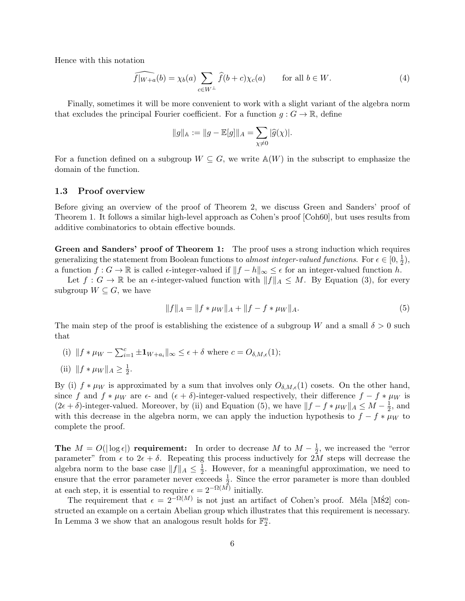Hence with this notation

<span id="page-5-1"></span>
$$
\widehat{f|_{W+a}}(b) = \chi_b(a) \sum_{c \in W^{\perp}} \widehat{f}(b+c) \chi_c(a) \quad \text{for all } b \in W.
$$
 (4)

Finally, sometimes it will be more convenient to work with a slight variant of the algebra norm that excludes the principal Fourier coefficient. For a function  $q: G \to \mathbb{R}$ , define

$$
||g||_A := ||g - \mathbb{E}[g]||_A = \sum_{\chi \neq 0} |\widehat{g}(\chi)|.
$$

For a function defined on a subgroup  $W \subseteq G$ , we write  $\mathbb{A}(W)$  in the subscript to emphasize the domain of the function.

#### 1.3 Proof overview

Before giving an overview of the proof of [Theorem 2,](#page-2-1) we discuss Green and Sanders' proof of [Theorem 1.](#page-1-0) It follows a similar high-level approach as Cohen's proof [\[Coh60\]](#page-19-1), but uses results from additive combinatorics to obtain effective bounds.

Green and Sanders' proof of [Theorem 1:](#page-1-0) The proof uses a strong induction which requires generalizing the statement from Boolean functions to almost integer-valued functions. For  $\epsilon \in [0, \frac{1}{2}]$  $(\frac{1}{2}),$ a function  $f: G \to \mathbb{R}$  is called  $\epsilon$ -integer-valued if  $||f - h||_{\infty} \leq \epsilon$  for an integer-valued function h.

Let  $f: G \to \mathbb{R}$  be an  $\epsilon$ -integer-valued function with  $||f||_A \leq M$ . By [Equation \(3\),](#page-4-0) for every subgroup  $W \subseteq G$ , we have

<span id="page-5-0"></span>
$$
||f||_A = ||f * \mu_W||_A + ||f - f * \mu_W||_A.
$$
\n(5)

The main step of the proof is establishing the existence of a subgroup W and a small  $\delta > 0$  such that

(i)  $|| f * \mu_W - \sum_{i=1}^c \pm \mathbf{1}_{W+a_i} ||_{\infty} \leq \epsilon + \delta$  where  $c = O_{\delta, M, \epsilon}(1);$ 

(ii) 
$$
\|f * \mu_W\|_A \ge \frac{1}{2}
$$

.

By (i)  $f * \mu_W$  is approximated by a sum that involves only  $O_{\delta,M,\epsilon}(1)$  cosets. On the other hand, since f and  $f * \mu_W$  are  $\epsilon$ - and  $(\epsilon + \delta)$ -integer-valued respectively, their difference  $f - f * \mu_W$  is  $(2\epsilon + \delta)$ -integer-valued. Moreover, by (ii) and [Equation \(5\),](#page-5-0) we have  $||f - f * \mu_W||_A \leq M - \frac{1}{2}$  $\frac{1}{2}$ , and with this decrease in the algebra norm, we can apply the induction hypothesis to  $f - f * \mu_W$  to complete the proof.

The  $M = O(|\log \epsilon|)$  requirement: In order to decrease M to  $M - \frac{1}{2}$  $\frac{1}{2}$ , we increased the "error" parameter" from  $\epsilon$  to  $2\epsilon + \delta$ . Repeating this process inductively for 2M steps will decrease the algebra norm to the base case  $||f||_A \leq \frac{1}{2}$  $\frac{1}{2}$ . However, for a meaningful approximation, we need to ensure that the error parameter never exceeds  $\frac{1}{2}$ . Since the error parameter is more than doubled at each step, it is essential to require  $\epsilon = 2^{-\Omega(M)}$  initially.

The requirement that  $\epsilon = 2^{-\Omega(M)}$  is not just an artifact of Cohen's proof. Méla [M82] constructed an example on a certain Abelian group which illustrates that this requirement is necessary. In [Lemma 3](#page-8-0) we show that an analogous result holds for  $\mathbb{F}_2^n$ .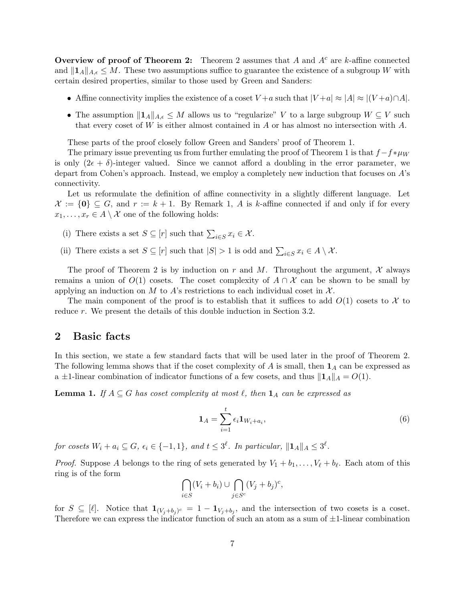**Overview of proof of [Theorem 2:](#page-2-1)** [Theorem 2](#page-2-1) assumes that A and  $A<sup>c</sup>$  are k-affine connected and  $||\mathbf{1}_A||_{A,\epsilon} \leq M$ . These two assumptions suffice to guarantee the existence of a subgroup W with certain desired properties, similar to those used by Green and Sanders:

- Affine connectivity implies the existence of a coset  $V + a$  such that  $|V + a| \approx |A| \approx |(V + a) \cap A|$ .
- The assumption  $||\mathbf{1}_A||_{A,\epsilon} \leq M$  allows us to "regularize" V to a large subgroup  $W \subseteq V$  such that every coset of W is either almost contained in A or has almost no intersection with  $A$ .

These parts of the proof closely follow Green and Sanders' proof of [Theorem 1.](#page-1-0)

The primary issue preventing us from further emulating the proof of [Theorem 1](#page-1-0) is that  $f-f*\mu_W$ is only  $(2\epsilon + \delta)$ -integer valued. Since we cannot afford a doubling in the error parameter, we depart from Cohen's approach. Instead, we employ a completely new induction that focuses on A's connectivity.

Let us reformulate the definition of affine connectivity in a slightly different language. Let  $\mathcal{X} := \{0\} \subseteq G$ , and  $r := k + 1$ . By [Remark 1,](#page-2-3) A is k-affine connected if and only if for every  $x_1, \ldots, x_r \in A \setminus \mathcal{X}$  one of the following holds:

- (i) There exists a set  $S \subseteq [r]$  such that  $\sum_{i \in S} x_i \in \mathcal{X}$ .
- (ii) There exists a set  $S \subseteq [r]$  such that  $|S| > 1$  is odd and  $\sum_{i \in S} x_i \in A \setminus \mathcal{X}$ .

The proof of [Theorem 2](#page-2-1) is by induction on r and M. Throughout the argument,  $\mathcal X$  always remains a union of  $O(1)$  cosets. The coset complexity of  $A \cap \mathcal{X}$  can be shown to be small by applying an induction on M to A's restrictions to each individual coset in  $\mathcal{X}$ .

The main component of the proof is to establish that it suffices to add  $O(1)$  cosets to X to reduce r. We present the details of this double induction in [Section 3.2.](#page-12-0)

### 2 Basic facts

In this section, we state a few standard facts that will be used later in the proof of [Theorem 2.](#page-2-1) The following lemma shows that if the coset complexity of  $A$  is small, then  $\mathbf{1}_A$  can be expressed as a ±1-linear combination of indicator functions of a few cosets, and thus  $||1_A||_A = O(1)$ .

<span id="page-6-0"></span>**Lemma 1.** If  $A \subseteq G$  has coset complexity at most  $\ell$ , then  $\mathbf{1}_A$  can be expressed as

$$
\mathbf{1}_A = \sum_{i=1}^t \epsilon_i \mathbf{1}_{W_i + a_i},\tag{6}
$$

for cosets  $W_i + a_i \subseteq G$ ,  $\epsilon_i \in \{-1,1\}$ , and  $t \leq 3^{\ell}$ . In particular,  $\|\mathbf{1}_A\|_A \leq 3^{\ell}$ .

*Proof.* Suppose A belongs to the ring of sets generated by  $V_1 + b_1, \ldots, V_\ell + b_\ell$ . Each atom of this ring is of the form

$$
\bigcap_{i\in S} (V_i + b_i) \cup \bigcap_{j\in S^c} (V_j + b_j)^c,
$$

for  $S \subseteq [\ell]$ . Notice that  $\mathbf{1}_{(V_j+b_j)^c} = 1 - \mathbf{1}_{V_j+b_j}$ , and the intersection of two cosets is a coset. Therefore we can express the indicator function of such an atom as a sum of  $\pm 1$ -linear combination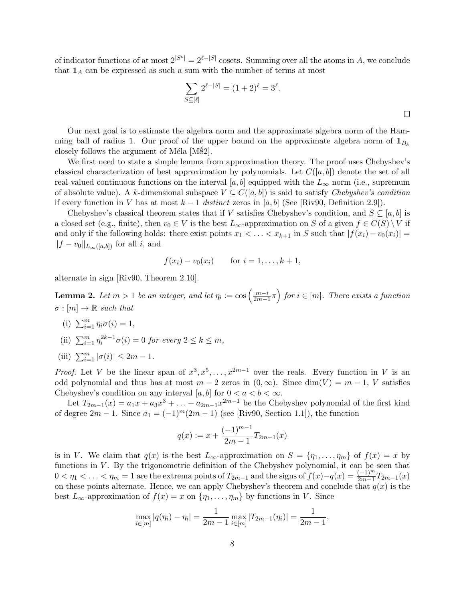of indicator functions of at most  $2^{|S^c|} = 2^{\ell-|S|}$  cosets. Summing over all the atoms in A, we conclude that  $\mathbf{1}_A$  can be expressed as such a sum with the number of terms at most

$$
\sum_{S \subseteq [\ell]} 2^{\ell - |S|} = (1+2)^{\ell} = 3^{\ell}.
$$

Our next goal is to estimate the algebra norm and the approximate algebra norm of the Hamming ball of radius 1. Our proof of the upper bound on the approximate algebra norm of  $\mathbf{1}_{B_k}$ closely follows the argument of Méla [M82].

We first need to state a simple lemma from approximation theory. The proof uses Chebyshev's classical characterization of best approximation by polynomials. Let  $C([a, b])$  denote the set of all real-valued continuous functions on the interval [a, b] equipped with the  $L_{\infty}$  norm (i.e., supremum of absolute value). A k-dimensional subspace  $V \subseteq C([a, b])$  is said to satisfy *Chebyshev's condition* if every function in V has at most  $k-1$  distinct zeros in [a, b] (See [\[Riv90,](#page-20-9) Definition 2.9]).

Chebyshev's classical theorem states that if V satisfies Chebyshev's condition, and  $S \subseteq [a, b]$  is a closed set (e.g., finite), then  $v_0 \in V$  is the best  $L_{\infty}$ -approximation on S of a given  $f \in C(S) \setminus V$  if and only if the following holds: there exist points  $x_1 < \ldots < x_{k+1}$  in S such that  $|f(x_i) - v_0(x_i)| =$  $||f - v_0||_{L_\infty([a,b])}$  for all i, and

$$
f(x_i) - v_0(x_i)
$$
 for  $i = 1, ..., k + 1$ ,

alternate in sign [\[Riv90,](#page-20-9) Theorem 2.10].

<span id="page-7-0"></span>**Lemma 2.** Let  $m > 1$  be an integer, and let  $\eta_i := \cos\left(\frac{m-i}{2m}\right)$  $\left(\frac{m-i}{2m-1}\pi\right)$  for  $i \in [m]$ . There exists a function  $\sigma : [m] \to \mathbb{R}$  such that

- (i)  $\sum_{i=1}^{m} \eta_i \sigma(i) = 1$ ,
- (ii)  $\sum_{i=1}^{m} \eta_i^{2k-1} \sigma(i) = 0$  for every  $2 \le k \le m$ ,
- (iii)  $\sum_{i=1}^{m} |\sigma(i)| \leq 2m 1$ .

*Proof.* Let V be the linear span of  $x^3, x^5, \ldots, x^{2m-1}$  over the reals. Every function in V is an odd polynomial and thus has at most  $m-2$  zeros in  $(0, \infty)$ . Since  $\dim(V) = m-1$ , V satisfies Chebyshev's condition on any interval [a, b] for  $0 < a < b < \infty$ .

Let  $T_{2m-1}(x) = a_1x + a_3x^3 + \ldots + a_{2m-1}x^{2m-1}$  be the Chebyshev polynomial of the first kind of degree  $2m - 1$ . Since  $a_1 = (-1)^m(2m - 1)$  (see [\[Riv90,](#page-20-9) Section 1.1]), the function

$$
q(x) := x + \frac{(-1)^{m-1}}{2m-1}T_{2m-1}(x)
$$

is in V. We claim that  $q(x)$  is the best  $L_{\infty}$ -approximation on  $S = \{\eta_1, \ldots, \eta_m\}$  of  $f(x) = x$  by functions in  $V$ . By the trigonometric definition of the Chebyshev polynomial, it can be seen that  $0 < \eta_1 < \ldots < \eta_m = 1$  are the extrema points of  $T_{2m-1}$  and the signs of  $f(x) - q(x) = \frac{(-1)^m}{2m-1} T_{2m-1}(x)$ on these points alternate. Hence, we can apply Chebyshev's theorem and conclude that  $q(x)$  is the best  $L_{\infty}$ -approximation of  $f(x) = x$  on  $\{\eta_1, \ldots, \eta_m\}$  by functions in V. Since

$$
\max_{i \in [m]} |q(\eta_i) - \eta_i| = \frac{1}{2m - 1} \max_{i \in [m]} |T_{2m - 1}(\eta_i)| = \frac{1}{2m - 1},
$$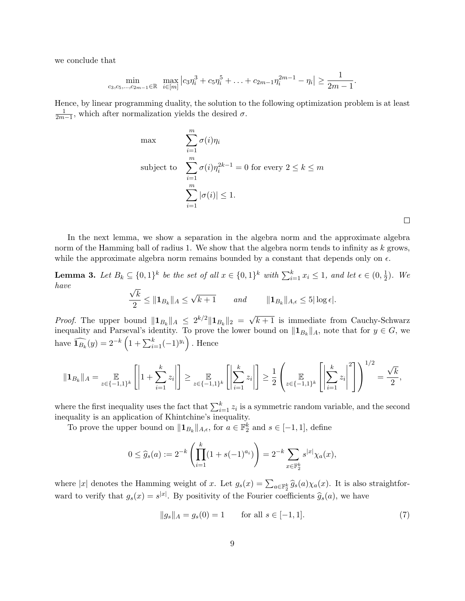we conclude that

$$
\min_{c_3,c_5,\dots,c_{2m-1}\in\mathbb{R}}\ \ \max_{i\in[m]} \left|c_3\eta_i^3+c_5\eta_i^5+\ldots+c_{2m-1}\eta_i^{2m-1}-\eta_i\right|\geq \frac{1}{2m-1}.
$$

Hence, by linear programming duality, the solution to the following optimization problem is at least  $\frac{1}{2m-1}$ , which after normalization yields the desired  $\sigma$ .

max  
\n
$$
\sum_{i=1}^{m} \sigma(i)\eta_i
$$
\nsubject to 
$$
\sum_{i=1}^{m} \sigma(i)\eta_i^{2k-1} = 0 \text{ for every } 2 \le k \le m
$$
\n
$$
\sum_{i=1}^{m} |\sigma(i)| \le 1.
$$

 $\Box$ 

In the next lemma, we show a separation in the algebra norm and the approximate algebra norm of the Hamming ball of radius 1. We show that the algebra norm tends to infinity as  $k$  grows, while the approximate algebra norm remains bounded by a constant that depends only on  $\epsilon$ .

<span id="page-8-0"></span>**Lemma 3.** Let  $B_k \subseteq \{0,1\}^k$  be the set of all  $x \in \{0,1\}^k$  with  $\sum_{i=1}^k x_i \leq 1$ , and let  $\epsilon \in (0, \frac{1}{2})$  $\frac{1}{2}$ ). We have √

$$
\frac{\sqrt{k}}{2} \leq \|\mathbf{1}_{B_k}\|_{A} \leq \sqrt{k+1} \quad \text{and} \quad \|\mathbf{1}_{B_k}\|_{A,\epsilon} \leq 5|\log \epsilon|.
$$

*Proof.* The upper bound  $||\mathbf{1}_{B_k}||_A \leq 2^{k/2}||\mathbf{1}_{B_k}||_2 =$ √  $k+1$  is immediate from Cauchy-Schwarz inequality and Parseval's identity. To prove the lower bound on  $\|\mathbf{1}_{B_k}\|_A$ , note that for  $y \in G$ , we have  $\widehat{\mathbf{1}_{B_k}}(y) = 2^{-k} \left(1 + \sum_{i=1}^k (-1)^{y_i}\right)$ . Hence

$$
\|\mathbf{1}_{B_k}\|_A = \underset{z \in \{-1,1\}^k}{\mathbb{E}}\left[\left|1 + \sum_{i=1}^k z_i\right|\right] \geq \underset{z \in \{-1,1\}^k}{\mathbb{E}}\left[\left|\sum_{i=1}^k z_i\right|\right] \geq \frac{1}{2}\left(\underset{z \in \{-1,1\}^k}{\mathbb{E}}\left[\left|\sum_{i=1}^k z_i\right|^2\right]\right)^{1/2} = \frac{\sqrt{k}}{2},
$$

where the first inequality uses the fact that  $\sum_{i=1}^{k} z_i$  is a symmetric random variable, and the second inequality is an application of Khintchine's inequality.

To prove the upper bound on  $||\mathbf{1}_{B_k}||_{A,\epsilon}$ , for  $a \in \mathbb{F}_2^k$  and  $s \in [-1,1]$ , define

$$
0 \le \widehat{g}_s(a) := 2^{-k} \left( \prod_{i=1}^k (1 + s(-1)^{a_i}) \right) = 2^{-k} \sum_{x \in \mathbb{F}_2^k} s^{|x|} \chi_a(x),
$$

where |x| denotes the Hamming weight of x. Let  $g_s(x) = \sum_{a \in \mathbb{F}_2^k} \hat{g}_s(a) \chi_a(x)$ . It is also straightforward to verify that  $g_s(x) = s^{|x|}$ . By positivity of the Fourier coefficients  $\hat{g}_s(a)$ , we have

<span id="page-8-1"></span>
$$
||g_s||_A = g_s(0) = 1 \qquad \text{for all } s \in [-1, 1]. \tag{7}
$$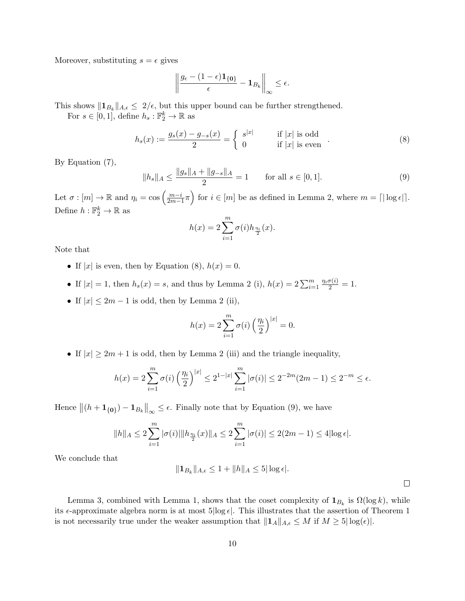Moreover, substituting  $s = \epsilon$  gives

$$
\left\|\frac{g_{\epsilon} - (1-\epsilon)\mathbf{1}_{\{0\}}}{\epsilon} - \mathbf{1}_{B_k}\right\|_{\infty} \leq \epsilon.
$$

This shows  $\|\mathbf{1}_{B_k}\|_{A,\epsilon} \leq 2/\epsilon$ , but this upper bound can be further strengthened.

For  $s \in [0,1]$ , define  $h_s : \mathbb{F}_2^k \to \mathbb{R}$  as

<span id="page-9-0"></span>
$$
h_s(x) := \frac{g_s(x) - g_{-s}(x)}{2} = \begin{cases} s^{|x|} & \text{if } |x| \text{ is odd} \\ 0 & \text{if } |x| \text{ is even} \end{cases}
$$
 (8)

By [Equation \(7\),](#page-8-1)

<span id="page-9-1"></span>
$$
||h_s||_A \le \frac{||g_s||_A + ||g_{-s}||_A}{2} = 1 \quad \text{for all } s \in [0, 1].
$$
 (9)

Let  $\sigma : [m] \to \mathbb{R}$  and  $\eta_i = \cos\left(\frac{m-i}{2m-1}\right)$  $\left(\frac{m-i}{2m-1}\pi\right)$  for  $i \in [m]$  be as defined in [Lemma 2,](#page-7-0) where  $m = \lceil \log \epsilon \rceil$ . Define  $h: \mathbb{F}_2^k \to \mathbb{R}$  as

$$
h(x) = 2\sum_{i=1}^{m} \sigma(i) h_{\frac{\eta_i}{2}}(x).
$$

Note that

- If  $|x|$  is even, then by [Equation \(8\),](#page-9-0)  $h(x) = 0$ .
- If  $|x| = 1$ , then  $h_s(x) = s$ , and thus by [Lemma 2](#page-7-0) (i),  $h(x) = 2\sum_{i=1}^{m} \frac{\eta_i \sigma(i)}{2} = 1$ .
- If  $|x| \leq 2m 1$  is odd, then by [Lemma 2](#page-7-0) (ii),

$$
h(x) = 2\sum_{i=1}^{m} \sigma(i) \left(\frac{\eta_i}{2}\right)^{|x|} = 0.
$$

• If  $|x| \geq 2m+1$  is odd, then by [Lemma 2](#page-7-0) (iii) and the triangle inequality,

$$
h(x) = 2\sum_{i=1}^{m} \sigma(i) \left(\frac{\eta_i}{2}\right)^{|x|} \le 2^{1-|x|} \sum_{i=1}^{m} |\sigma(i)| \le 2^{-2m} (2m-1) \le 2^{-m} \le \epsilon.
$$

Hence  $\|(h+\mathbf{1}_{\{\mathbf{0}\}})-\mathbf{1}_{B_k}\|_{\infty} \leq \epsilon$ . Finally note that by [Equation \(9\),](#page-9-1) we have

$$
||h||_A \le 2\sum_{i=1}^m |\sigma(i)| ||h_{\frac{\eta_i}{2}}(x)||_A \le 2\sum_{i=1}^m |\sigma(i)| \le 2(2m-1) \le 4|\log \epsilon|.
$$

We conclude that

$$
||\mathbf{1}_{B_k}||_{A,\epsilon} \le 1 + ||h||_A \le 5|\log \epsilon|.
$$

 $\Box$ 

[Lemma 3,](#page-8-0) combined with [Lemma 1,](#page-6-0) shows that the coset complexity of  $\mathbf{1}_{B_k}$  is  $\Omega(\log k)$ , while its  $\epsilon$ -approximate algebra norm is at most 5|log  $\epsilon$ . This illustrates that the assertion of [Theorem 1](#page-1-0) is not necessarily true under the weaker assumption that  $||\mathbf{1}_A||_{A,\epsilon} \leq M$  if  $M \geq 5|\log(\epsilon)|$ .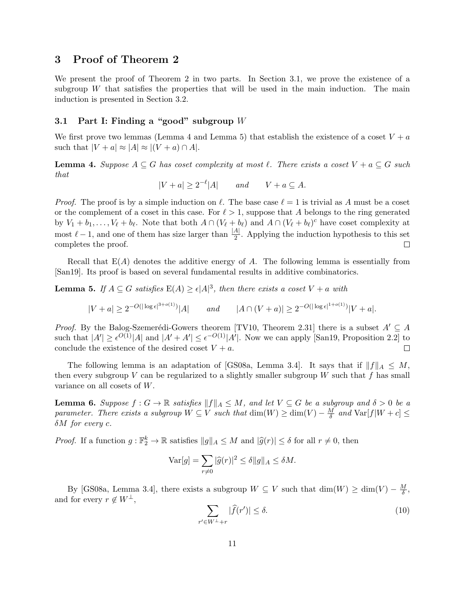# 3 Proof of [Theorem 2](#page-2-1)

We present the proof of [Theorem 2](#page-2-1) in two parts. In [Section 3.1,](#page-10-0) we prove the existence of a subgroup  $W$  that satisfies the properties that will be used in the main induction. The main induction is presented in [Section 3.2.](#page-12-0)

### <span id="page-10-0"></span>3.1 Part I: Finding a "good" subgroup  $W$

We first prove two lemmas [\(Lemma 4](#page-10-1) and [Lemma 5\)](#page-10-2) that establish the existence of a coset  $V + a$ such that  $|V + a| \approx |A| \approx |(V + a) \cap A|$ .

<span id="page-10-1"></span>**Lemma 4.** Suppose  $A \subseteq G$  has coset complexity at most  $\ell$ . There exists a coset  $V + a \subseteq G$  such that

$$
|V + a| \ge 2^{-\ell} |A| \qquad and \qquad V + a \subseteq A.
$$

*Proof.* The proof is by a simple induction on  $\ell$ . The base case  $\ell = 1$  is trivial as A must be a coset or the complement of a coset in this case. For  $\ell > 1$ , suppose that A belongs to the ring generated by  $V_1 + b_1, \ldots, V_\ell + b_\ell$ . Note that both  $A \cap (V_\ell + b_\ell)$  and  $A \cap (V_\ell + b_\ell)^c$  have coset complexity at most  $\ell - 1$ , and one of them has size larger than  $\frac{|A|}{2}$ . Applying the induction hypothesis to this set completes the proof.  $\Box$ 

Recall that  $E(A)$  denotes the additive energy of A. The following lemma is essentially from [\[San19\]](#page-20-1). Its proof is based on several fundamental results in additive combinatorics.

<span id="page-10-2"></span>**Lemma 5.** If  $A \subseteq G$  satisfies  $E(A) \ge \epsilon |A|^3$ , then there exists a coset  $V + a$  with

$$
|V + a| \ge 2^{-O(|\log \epsilon|^{3+o(1)})} |A| \qquad \text{and} \qquad |A \cap (V + a)| \ge 2^{-O(|\log \epsilon|^{1+o(1)})} |V + a|.
$$

*Proof.* By the Balog-Szemerédi-Gowers theorem [\[TV10,](#page--1-4) Theorem 2.31] there is a subset  $A' \subseteq A$ such that  $|A'| \geq \epsilon^{O(1)}|A|$  and  $|A' + A'| \leq \epsilon^{-O(1)}|A'|$ . Now we can apply [\[San19,](#page-20-1) Proposition 2.2] to conclude the existence of the desired coset  $V + a$ .  $\Box$ 

The following lemma is an adaptation of [\[GS08a,](#page-19-0) Lemma 3.4]. It says that if  $||f||_A \leq M$ , then every subgroup V can be regularized to a slightly smaller subgroup W such that  $f$  has small variance on all cosets of W.

<span id="page-10-4"></span>**Lemma 6.** Suppose  $f: G \to \mathbb{R}$  satisfies  $||f||_A \leq M$ , and let  $V \subseteq G$  be a subgroup and  $\delta > 0$  be a parameter. There exists a subgroup  $W \subseteq V$  such that  $\dim(W) \geq \dim(V) - \frac{M}{\delta}$  $\frac{M}{\delta}$  and  $\text{Var}[f|W+c] \leq$  $\delta M$  for every c.

*Proof.* If a function  $g: \mathbb{F}_2^k \to \mathbb{R}$  satisfies  $||g||_A \leq M$  and  $|\widehat{g}(r)| \leq \delta$  for all  $r \neq 0$ , then

$$
\text{Var}[g] = \sum_{r \neq 0} |\widehat{g}(r)|^2 \le \delta \|g\|_A \le \delta M.
$$

By [\[GS08a,](#page-19-0) Lemma 3.4], there exists a subgroup  $W \subseteq V$  such that  $\dim(W) \ge \dim(V) - \frac{M}{\delta}$  $\frac{M}{\delta}$  , and for every  $r \notin W^{\perp}$ ,

<span id="page-10-3"></span>
$$
\sum_{r' \in W^{\perp} + r} |\hat{f}(r')| \le \delta. \tag{10}
$$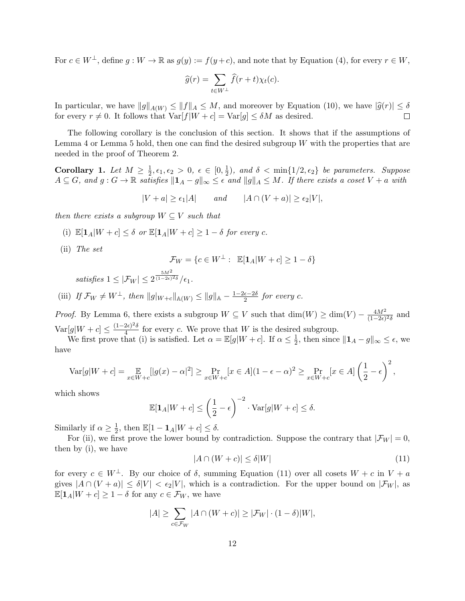For  $c \in W^{\perp}$ , define  $g: W \to \mathbb{R}$  as  $g(y) := f(y+c)$ , and note that by [Equation \(4\),](#page-5-1) for every  $r \in W$ ,

$$
\widehat{g}(r) = \sum_{t \in W^{\perp}} \widehat{f}(r+t) \chi_t(c).
$$

In particular, we have  $||g||_{A(W)} \le ||f||_A \le M$ , and moreover by [Equation \(10\),](#page-10-3) we have  $|\hat{g}(r)| \le \delta$  for every  $r \ne 0$ . It follows that  $Var[f|W + c] = Var[g] < \delta M$  as desired. for every  $r \neq 0$ . It follows that  $\text{Var}[f|W+c] = \text{Var}[g] \leq \delta M$  as desired.

The following corollary is the conclusion of this section. It shows that if the assumptions of [Lemma 4](#page-10-1) or [Lemma 5](#page-10-2) hold, then one can find the desired subgroup  $W$  with the properties that are needed in the proof of [Theorem 2.](#page-2-1)

<span id="page-11-1"></span>Corollary 1. Let  $M \geq \frac{1}{2}$  $\frac{1}{2}, \epsilon_1, \epsilon_2 > 0, \epsilon \in [0, \frac{1}{2}]$  $\frac{1}{2}$ ), and  $\delta < \min\{1/2, \epsilon_2\}$  be parameters. Suppose  $A \subseteq G$ , and  $g: G \to \mathbb{R}$  satisfies  $||\mathbf{1}_A - g||_{\infty} \leq \epsilon$  and  $||g||_A \leq M$ . If there exists a coset  $V + a$  with

$$
|V + a| \ge \epsilon_1 |A| \qquad \text{and} \qquad |A \cap (V + a)| \ge \epsilon_2 |V|,
$$

then there exists a subgroup  $W \subseteq V$  such that

- (i)  $\mathbb{E}[\mathbf{1}_A|W+c] < \delta$  or  $\mathbb{E}[\mathbf{1}_A|W+c] > 1-\delta$  for every c.
- (ii) The set

$$
\mathcal{F}_W = \{ c \in W^{\perp} : \ \mathbb{E}[\mathbf{1}_A | W + c] \ge 1 - \delta \}
$$

satisfies  $1 \leq |\mathcal{F}_W| \leq 2$  $5M^2$  $^{\overline{(1-2\epsilon)^2\delta}}/\epsilon_1.$ 

(iii) If  $\mathcal{F}_W \neq W^{\perp}$ , then  $||g|_{W+c}||_{\mathbb{A}(W)} \leq ||g||_{\mathbb{A}} - \frac{1-2\epsilon-2\delta}{2}$  $\frac{\epsilon-2\delta}{2}$  for every c.

*Proof.* By Lemma [6,](#page-10-4) there exists a subgroup  $W \subseteq V$  such that  $\dim(W) \geq \dim(V) - \frac{4M^2}{(1-2\epsilon)}$  $\frac{4M^2}{(1-2\epsilon)^2\delta}$  and  $\text{Var}[g|W+c] \leq \frac{(1-2\epsilon)^2 \delta}{4}$  $\frac{2\epsilon}{4}$  for every c. We prove that W is the desired subgroup.

We first prove that (i) is satisfied. Let  $\alpha = \mathbb{E}[g|W+c]$ . If  $\alpha \leq \frac{1}{2}$  $\frac{1}{2}$ , then since  $||\mathbf{1}_A - g||_{\infty} \leq \epsilon$ , we have

$$
\text{Var}[g|W+c] = \mathop{\mathbb{E}}_{x \in W+c} [|g(x) - \alpha|^2] \ge \Pr_{x \in W+c} [x \in A] (1 - \epsilon - \alpha)^2 \ge \Pr_{x \in W+c} [x \in A] \left(\frac{1}{2} - \epsilon\right)^2,
$$

which shows

$$
\mathbb{E}[\mathbf{1}_A|W+c] \le \left(\frac{1}{2}-\epsilon\right)^{-2} \cdot \text{Var}[g|W+c] \le \delta.
$$

Similarly if  $\alpha \geq \frac{1}{2}$  $\frac{1}{2}$ , then  $\mathbb{E}[1 - \mathbf{1}_A|W + c] \leq \delta$ .

For (ii), we first prove the lower bound by contradiction. Suppose the contrary that  $|\mathcal{F}_W| = 0$ , then by (i), we have

<span id="page-11-0"></span>
$$
|A \cap (W + c)| \le \delta |W| \tag{11}
$$

for every  $c \in W^{\perp}$ . By our choice of  $\delta$ , summing [Equation \(11\)](#page-11-0) over all cosets  $W + c$  in  $V + a$ gives  $|A \cap (V + a)| \le \delta |V| < \epsilon_2 |V|$ , which is a contradiction. For the upper bound on  $|\mathcal{F}_W|$ , as  $\mathbb{E}[\mathbf{1}_A|W+c] \geq 1-\delta$  for any  $c \in \mathcal{F}_W$ , we have

$$
|A| \ge \sum_{c \in \mathcal{F}_W} |A \cap (W + c)| \ge |\mathcal{F}_W| \cdot (1 - \delta)|W|,
$$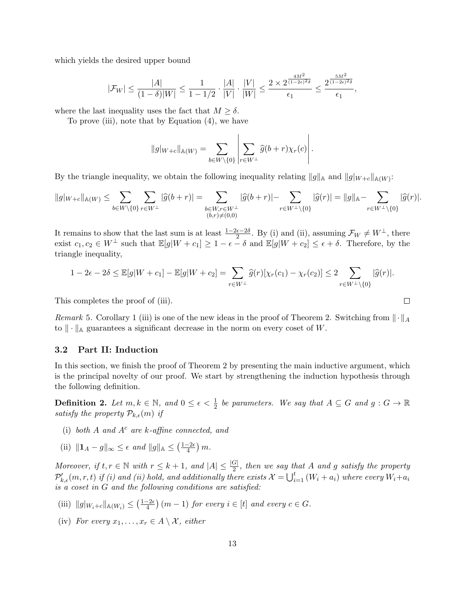which yields the desired upper bound

$$
|\mathcal{F}_W| \leq \frac{|A|}{(1-\delta)|W|} \leq \frac{1}{1-1/2} \cdot \frac{|A|}{|V|} \cdot \frac{|V|}{|W|} \leq \frac{2 \times 2^{\frac{4M^2}{(1-2\epsilon)^2\delta}}}{\epsilon_1} \leq \frac{2^{\frac{5M^2}{(1-2\epsilon)^2\delta}}}{\epsilon_1},
$$

where the last inequality uses the fact that  $M \geq \delta$ .

To prove (iii), note that by [Equation \(4\),](#page-5-1) we have

$$
||g|_{W+c}||_{\mathbb{A}(W)} = \sum_{b \in W \setminus \{0\}} \left| \sum_{r \in W^{\perp}} \widehat{g}(b+r) \chi_r(c) \right|.
$$

By the triangle inequality, we obtain the following inequality relating  $||g||_{\mathbb{A}}$  and  $||g|_{W+c}||_{\mathbb{A}(W)}$ :

$$
\|g|_{W+c}\|_{\mathbb{A}(W)}\leq \sum_{b\in W\backslash\{0\}}\sum_{r\in W^{\perp}}|\widehat{g}(b+r)|=\sum_{\substack{b\in W,r\in W^{\perp}\\(b,r)\neq (0,0)}}|\widehat{g}(b+r)|-\sum_{r\in W^{\perp}\backslash\{0\}}|\widehat{g}(r)|=\|g\|_{\mathbb{A}}-\sum_{r\in W^{\perp}\backslash\{0\}}|\widehat{g}(r)|.
$$

It remains to show that the last sum is at least  $\frac{1-2\epsilon-2\delta}{2}$ . By (i) and (ii), assuming  $\mathcal{F}_W \neq W^{\perp}$ , there exist  $c_1, c_2 \in W^{\perp}$  such that  $\mathbb{E}[g|W+c_1] \geq 1-\epsilon - \delta$  and  $\mathbb{E}[g|W+c_2] \leq \epsilon + \delta$ . Therefore, by the triangle inequality,

$$
1-2\epsilon-2\delta\leq \mathbb{E}[g|W+c_1]-\mathbb{E}[g|W+c_2]=\sum_{r\in W^{\perp}}\widehat{g}(r)[\chi_r(c_1)-\chi_r(c_2)]\leq 2\sum_{r\in W^{\perp}\backslash\{0\}}|\widehat{g}(r)|.
$$

 $\Box$ 

This completes the proof of (iii).

Remark 5. [Corollary 1](#page-11-1) (iii) is one of the new ideas in the proof of [Theorem 2.](#page-2-1) Switching from  $\|\cdot\|_A$ to  $\|\cdot\|_{\mathbb{A}}$  guarantees a significant decrease in the norm on every coset of W.

### <span id="page-12-0"></span>3.2 Part II: Induction

In this section, we finish the proof of [Theorem 2](#page-2-1) by presenting the main inductive argument, which is the principal novelty of our proof. We start by strengthening the induction hypothesis through the following definition.

<span id="page-12-1"></span>**Definition 2.** Let  $m, k \in \mathbb{N}$ , and  $0 \le \epsilon < \frac{1}{2}$  be parameters. We say that  $A \subseteq G$  and  $g : G \to \mathbb{R}$ satisfy the property  $\mathcal{P}_{k,\epsilon}(m)$  if

- (i) both  $A$  and  $A<sup>c</sup>$  are k-affine connected, and
- (ii)  $||\mathbf{1}_A g||_{\infty} \leq \epsilon$  and  $||g||_{\mathbb{A}} \leq (\frac{1-2\epsilon}{4})$  $\frac{-2\epsilon}{4}\big)\,m.$

Moreover, if  $t, r \in \mathbb{N}$  with  $r \leq k+1$ , and  $|A| \leq \frac{|G|}{2}$ , then we say that A and g satisfy the property  $\mathcal{P}'_{k,\epsilon}(m,r,t)$  if (i) and (ii) hold, and additionally there exists  $\mathcal{X}=\bigcup_{i=1}^t\left(W_i+a_i\right)$  where every  $W_i+a_i$ is a coset in G and the following conditions are satisfied:

- (iii)  $||g|_{W_i+c}||_{\mathbb{A}(W_i)} \leq \left(\frac{1-2\epsilon}{4}\right)$  $\frac{-2\epsilon}{4}$  (m - 1) for every  $i \in [t]$  and every  $c \in G$ .
- (iv) For every  $x_1, \ldots, x_r \in A \setminus \mathcal{X}$ , either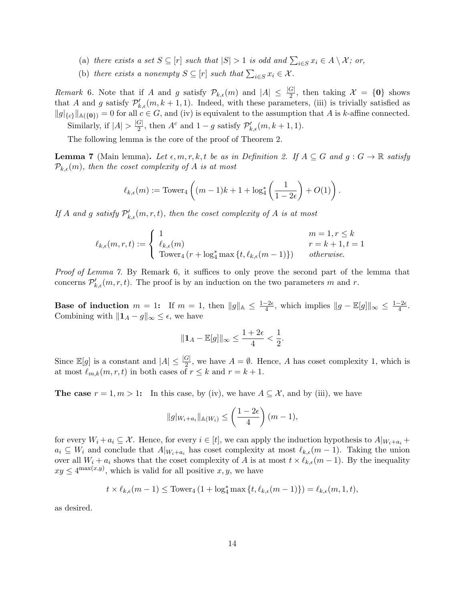- <span id="page-13-2"></span>(a) there exists a set  $S \subseteq [r]$  such that  $|S| > 1$  is odd and  $\sum_{i \in S} x_i \in A \setminus \mathcal{X}$ ; or,
- (b) there exists a nonempty  $S \subseteq [r]$  such that  $\sum_{i \in S} x_i \in \mathcal{X}$ .

<span id="page-13-3"></span><span id="page-13-1"></span>Remark 6. Note that if A and g satisfy  $\mathcal{P}_{k,\epsilon}(m)$  and  $|A| \leq \frac{|G|}{2}$ , then taking  $\mathcal{X} = \{0\}$  shows that A and g satisfy  $\mathcal{P}'_{k,\epsilon}(m, k+1, 1)$ . Indeed, with these parameters, (iii) is trivially satisfied as  $||g||_{\{c\}}||_{\mathbb{A}(\{0\})}=0$  for all  $c \in G$ , and (iv) is equivalent to the assumption that A is k-affine connected. Similarly, if  $|A| > \frac{|G|}{2}$  $\frac{G}{2}$ , then  $A^c$  and  $1-g$  satisfy  $\mathcal{P}'_{k,\epsilon}(m,k+1,1)$ .

The following lemma is the core of the proof of [Theorem 2.](#page-2-1)

<span id="page-13-0"></span>**Lemma 7** (Main lemma). Let  $\epsilon, m, r, k, t$  be as in [Definition 2.](#page-12-1) If  $A \subseteq G$  and  $g : G \to \mathbb{R}$  satisfy  $\mathcal{P}_{k,\epsilon}(m)$ , then the coset complexity of A is at most

$$
\ell_{k,\epsilon}(m):=\textup{Tower}_4\left((m-1)k+1+\log_4^*\left(\frac{1}{1-2\epsilon}\right)+O(1)\right).
$$

If A and g satisfy  $\mathcal{P}'_{k,\epsilon}(m,r,t)$ , then the coset complexity of A is at most

$$
\ell_{k,\epsilon}(m,r,t) := \begin{cases} 1 & m = 1, r \leq k \\ \ell_{k,\epsilon}(m) & r = k+1, t = 1 \\ \text{ Tower}_4(r + \log_4^* \max\{t, \ell_{k,\epsilon}(m-1)\}) & otherwise. \end{cases}
$$

Proof of [Lemma 7.](#page-13-0) By [Remark 6,](#page-13-1) it suffices to only prove the second part of the lemma that concerns  $\mathcal{P}'_{k,\epsilon}(m,r,t)$ . The proof is by an induction on the two parameters m and r.

Base of induction  $m = 1$ : If  $m = 1$ , then  $||g||_{\mathbb{A}} \leq \frac{1-2\epsilon}{4}$  $\frac{-2\epsilon}{4}$ , which implies  $||g - \mathbb{E}[g]||_{\infty} \leq \frac{1-2\epsilon}{4}$  $\frac{-2\epsilon}{4}$ . Combining with  $||\mathbf{1}_A - g||_{\infty} \leq \epsilon$ , we have

$$
\|\mathbf{1}_A - \mathbb{E}[g]\|_{\infty} \le \frac{1+2\epsilon}{4} < \frac{1}{2}.
$$

Since  $\mathbb{E}[g]$  is a constant and  $|A| \leq \frac{|G|}{2}$ , we have  $A = \emptyset$ . Hence, A has coset complexity 1, which is at most  $\ell_{m,k}(m,r,t)$  in both cases of  $r \leq k$  and  $r = k + 1$ .

**The case**  $r = 1, m > 1$ : In this case, by (iv), we have  $A \subseteq \mathcal{X}$ , and by (iii), we have

$$
||g|_{W_i+a_i}||_{\mathbb{A}(W_i)} \leq \left(\frac{1-2\epsilon}{4}\right)(m-1),
$$

for every  $W_i + a_i \subseteq \mathcal{X}$ . Hence, for every  $i \in [t]$ , we can apply the induction hypothesis to  $A|_{W_i + a_i}$  +  $a_i \subseteq W_i$  and conclude that  $A|_{W_i+a_i}$  has coset complexity at most  $\ell_{k,\epsilon}(m-1)$ . Taking the union over all  $W_i + a_i$  shows that the coset complexity of A is at most  $t \times \ell_{k,\epsilon}(m-1)$ . By the inequality  $xy \leq 4^{\max(x,y)}$ , which is valid for all positive  $x, y$ , we have

$$
t \times \ell_{k,\epsilon}(m-1) \leq \text{Tower}_4\left(1 + \log_4^* \max\left\{t, \ell_{k,\epsilon}(m-1)\right\}\right) = \ell_{k,\epsilon}(m,1,t),
$$

as desired.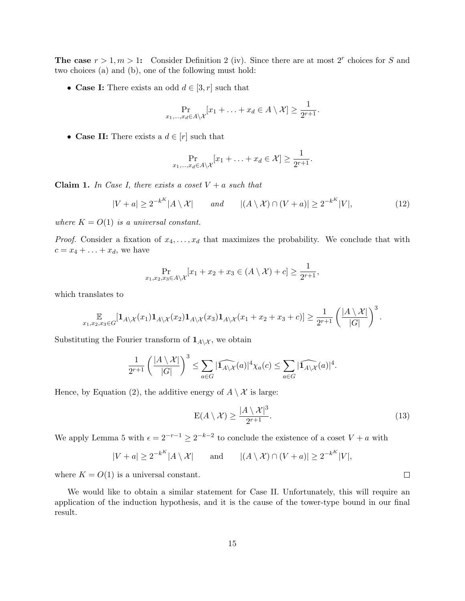The case  $r > 1, m > 1$ : Consider [Definition 2](#page-12-1) (iv). Since there are at most 2<sup>r</sup> choices for S and two choices (a) and (b), one of the following must hold:

• Case I: There exists an odd  $d \in [3, r]$  such that

$$
\Pr_{x_1,\ldots,x_d\in A\setminus\mathcal{X}}[x_1+\ldots+x_d\in A\setminus\mathcal{X}]\geq \frac{1}{2^{r+1}}.
$$

• Case II: There exists a  $d \in [r]$  such that

$$
\Pr_{x_1,\ldots,x_d\in A\setminus\mathcal{X}}[x_1+\ldots+x_d\in\mathcal{X}]\geq\frac{1}{2^{r+1}}.
$$

Claim 1. In Case I, there exists a coset  $V + a$  such that

<span id="page-14-0"></span>
$$
|V+a| \ge 2^{-k^{K}}|A \setminus \mathcal{X}| \quad \text{and} \quad |(A \setminus \mathcal{X}) \cap (V+a)| \ge 2^{-k^{K}}|V|, \tag{12}
$$

where  $K = O(1)$  is a universal constant.

*Proof.* Consider a fixation of  $x_4, \ldots, x_d$  that maximizes the probability. We conclude that with  $c = x_4 + \ldots + x_d$ , we have

$$
\Pr_{x_1,x_2,x_3\in A\setminus\mathcal{X}}[x_1+x_2+x_3\in(A\setminus\mathcal{X})+c]\geq\frac{1}{2^{r+1}},
$$

which translates to

$$
\mathop{\mathbb{E}}_{x_1,x_2,x_3\in G}[\mathbf{1}_{A\setminus\mathcal{X}}(x_1)\mathbf{1}_{A\setminus\mathcal{X}}(x_2)\mathbf{1}_{A\setminus\mathcal{X}}(x_3)\mathbf{1}_{A\setminus\mathcal{X}}(x_1+x_2+x_3+c)] \geq \frac{1}{2^{r+1}}\left(\frac{|A\setminus\mathcal{X}|}{|G|}\right)^3.
$$

Substituting the Fourier transform of  $\mathbf{1}_{A\setminus\mathcal{X}}$ , we obtain

$$
\frac{1}{2^{r+1}}\left(\frac{|A\setminus\mathcal{X}|}{|G|}\right)^3 \leq \sum_{a\in G} |\widehat{1_{A\setminus\mathcal{X}}}(a)|^4 \chi_a(c) \leq \sum_{a\in G} |\widehat{1_{A\setminus\mathcal{X}}}(a)|^4.
$$

Hence, by [Equation \(2\),](#page-4-1) the additive energy of  $A \setminus \mathcal{X}$  is large:

$$
E(A \setminus \mathcal{X}) \ge \frac{|A \setminus \mathcal{X}|^3}{2^{r+1}}.\tag{13}
$$

We apply [Lemma 5](#page-10-2) with  $\epsilon = 2^{-r-1} \geq 2^{-k-2}$  to conclude the existence of a coset  $V + a$  with

$$
|V + a| \ge 2^{-k^{K}} |A \setminus \mathcal{X}| \quad \text{and} \quad |(A \setminus \mathcal{X}) \cap (V + a)| \ge 2^{-k^{K}} |V|,
$$

where  $K = O(1)$  is a universal constant.

We would like to obtain a similar statement for Case II. Unfortunately, this will require an application of the induction hypothesis, and it is the cause of the tower-type bound in our final result.

 $\Box$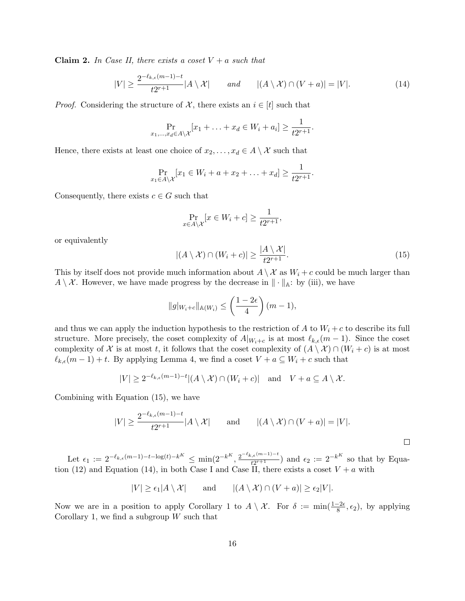**Claim 2.** In Case II, there exists a coset  $V + a$  such that

<span id="page-15-1"></span>
$$
|V| \ge \frac{2^{-\ell_{k,\epsilon}(m-1)-t}}{t2^{r+1}} |A \setminus \mathcal{X}| \quad \text{and} \quad |(A \setminus \mathcal{X}) \cap (V+a)| = |V|.
$$
 (14)

*Proof.* Considering the structure of  $\mathcal{X}$ , there exists an  $i \in [t]$  such that

$$
\Pr_{x_1,\ldots,x_d\in A\setminus\mathcal{X}}[x_1+\ldots+x_d\in W_i+a_i]\geq \frac{1}{t2^{r+1}}.
$$

Hence, there exists at least one choice of  $x_2, \ldots, x_d \in A \setminus \mathcal{X}$  such that

$$
\Pr_{x_1 \in A \setminus \mathcal{X}}[x_1 \in W_i + a + x_2 + \ldots + x_d] \ge \frac{1}{t2^{r+1}}.
$$

Consequently, there exists  $c \in G$  such that

$$
\Pr_{x \in A \setminus \mathcal{X}}[x \in W_i + c] \ge \frac{1}{t2^{r+1}},
$$

or equivalently

<span id="page-15-0"></span>
$$
|(A \setminus \mathcal{X}) \cap (W_i + c)| \ge \frac{|A \setminus \mathcal{X}|}{t2^{r+1}}.
$$
\n(15)

This by itself does not provide much information about  $A \setminus \mathcal{X}$  as  $W_i + c$  could be much larger than  $A \setminus \mathcal{X}$ . However, we have made progress by the decrease in  $\|\cdot\|_{\mathbb{A}}$ : by (iii), we have

$$
||g|_{W_i+c}||_{\mathbb{A}(W_i)} \leq \left(\frac{1-2\epsilon}{4}\right)(m-1),
$$

and thus we can apply the induction hypothesis to the restriction of A to  $W_i + c$  to describe its full structure. More precisely, the coset complexity of  $A|_{W_i+c}$  is at most  $\ell_{k,\epsilon}(m-1)$ . Since the coset complexity of X is at most t, it follows that the coset complexity of  $(A \setminus \mathcal{X}) \cap (W_i + c)$  is at most  $\ell_{k,\epsilon}(m-1)+t$ . By applying [Lemma 4,](#page-10-1) we find a coset  $V + a \subseteq W_i + c$  such that

$$
|V| \ge 2^{-\ell_{k,\epsilon}(m-1)-t} |(A \setminus \mathcal{X}) \cap (W_i + c)| \text{ and } V + a \subseteq A \setminus \mathcal{X}.
$$

Combining with [Equation \(15\),](#page-15-0) we have

$$
|V| \ge \frac{2^{-\ell_{k,\epsilon}(m-1)-t}}{t2^{r+1}} |A \setminus \mathcal{X}| \quad \text{and} \quad |(A \setminus \mathcal{X}) \cap (V+a)| = |V|.
$$

Let  $\epsilon_1 := 2^{-\ell_{k,\epsilon}(m-1)-t-\log(t)-k^K} \le \min(2^{-k^K}, \frac{2^{-\ell_{k,\epsilon}(m-1)-t}}{t^{2r+1}})$  $\frac{\epsilon_1,\epsilon^{(m-1)-t}}{t2^{r+1}}$  and  $\epsilon_2 := 2^{-k}$  so that by [Equa](#page-14-0)[tion \(12\)](#page-14-0) and [Equation \(14\),](#page-15-1) in both Case I and Case II, there exists a coset  $V + a$  with

$$
|V| \ge \epsilon_1 |A \setminus \mathcal{X}| \quad \text{and} \quad |(A \setminus \mathcal{X}) \cap (V + a)| \ge \epsilon_2 |V|.
$$

Now we are in a position to apply [Corollary 1](#page-11-1) to  $A \setminus \mathcal{X}$ . For  $\delta := \min(\frac{1-2\epsilon}{8}, \epsilon_2)$ , by applying [Corollary 1,](#page-11-1) we find a subgroup  $W$  such that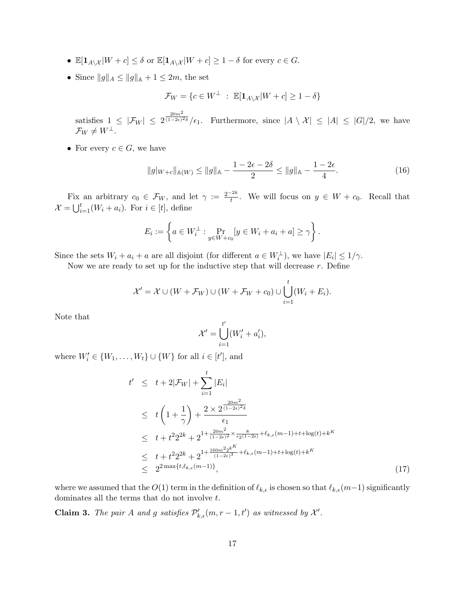- $\mathbb{E}[\mathbf{1}_{A\setminus\mathcal{X}}|W+c] \leq \delta$  or  $\mathbb{E}[\mathbf{1}_{A\setminus\mathcal{X}}|W+c] \geq 1-\delta$  for every  $c \in G$ .
- Since  $||g||_A \le ||g||_{\mathbb{A}} + 1 \le 2m$ , the set

$$
\mathcal{F}_W = \{ c \in W^{\perp} \ : \ \mathbb{E}[\mathbf{1}_{A \setminus \mathcal{X}} | W + c] \ge 1 - \delta \}
$$

satisfies  $1 \leq |\mathcal{F}_W| \leq 2$  $20m^2$  $\frac{1}{(1-2\epsilon)^{2\delta}}/\epsilon_1$ . Furthermore, since  $|A \setminus \mathcal{X}| \leq |A| \leq |G|/2$ , we have  $\mathcal{F}_W \neq W^\perp$ .

• For every  $c \in G$ , we have

<span id="page-16-0"></span>
$$
||g|_{W+c}||_{\mathbb{A}(W)} \le ||g||_{\mathbb{A}} - \frac{1 - 2\epsilon - 2\delta}{2} \le ||g||_{\mathbb{A}} - \frac{1 - 2\epsilon}{4}.
$$
 (16)

Fix an arbitrary  $c_0 \in \mathcal{F}_W$ , and let  $\gamma := \frac{2^{-2k}}{t}$ . We will focus on  $y \in W + c_0$ . Recall that  $\mathcal{X} = \bigcup_{i=1}^t (W_i + a_i)$ . For  $i \in [t]$ , define

$$
E_i := \left\{ a \in W_i^{\perp} : \Pr_{y \in W + c_0} [y \in W_i + a_i + a] \ge \gamma \right\}.
$$

Since the sets  $W_i + a_i + a$  are all disjoint (for different  $a \in W_i^{\perp}$ ), we have  $|E_i| \leq 1/\gamma$ .

Now we are ready to set up for the inductive step that will decrease  $r$ . Define

$$
\mathcal{X}' = \mathcal{X} \cup (W + \mathcal{F}_W) \cup (W + \mathcal{F}_W + c_0) \cup \bigcup_{i=1}^t (W_i + E_i).
$$

Note that

$$
\mathcal{X}' = \bigcup_{i=1}^{t'} (W'_i + a'_i),
$$

where  $W'_i \in \{W_1, \ldots, W_t\} \cup \{W\}$  for all  $i \in [t']$ , and

<span id="page-16-1"></span>
$$
t' \leq t + 2|\mathcal{F}_W| + \sum_{i=1}^t |E_i|
$$
  
\n
$$
\leq t \left(1 + \frac{1}{\gamma}\right) + \frac{2 \times 2^{\frac{20m^2}{(1-2\epsilon)^2 \delta}}}{\epsilon_1}
$$
  
\n
$$
\leq t + t^2 2^{2k} + 2^{1 + \frac{20m^2}{(1-2\epsilon)^2} \times \frac{8}{\epsilon_2 (1-2\epsilon)} + \ell_{k,\epsilon}(m-1) + t + \log(t) + k^K}
$$
  
\n
$$
\leq t + t^2 2^{2k} + 2^{1 + \frac{160m^2 2^{kK}}{(1-2\epsilon)^3} + \ell_{k,\epsilon}(m-1) + t + \log(t) + k^K}
$$
  
\n
$$
\leq 2^{2 \max\{t, \ell_{k,\epsilon}(m-1)\}}, \tag{17}
$$

where we assumed that the  $O(1)$  term in the definition of  $\ell_{k,\epsilon}$  is chosen so that  $\ell_{k,\epsilon}(m-1)$  significantly dominates all the terms that do not involve t.

**Claim 3.** The pair A and g satisfies  $\mathcal{P}'_{k,\epsilon}(m,r-1,t')$  as witnessed by  $\mathcal{X}'$ .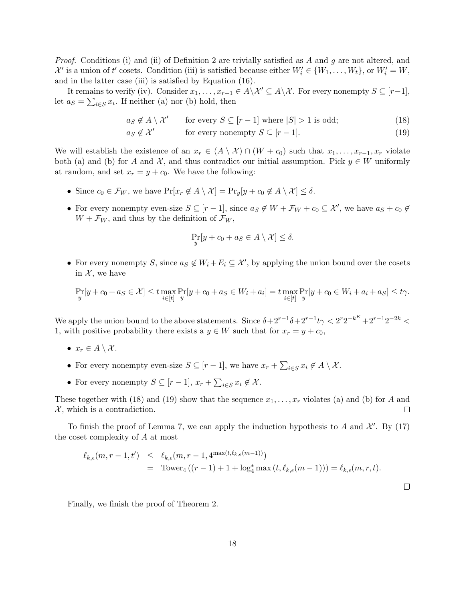*Proof.* Conditions (i) and (ii) of [Definition 2](#page-12-1) are trivially satisfied as A and g are not altered, and  $\mathcal{X}'$  is a union of t' cosets. Condition (iii) is satisfied because either  $W'_i \in \{W_1, \ldots, W_t\}$ , or  $W'_i = W$ , and in the latter case (iii) is satisfied by [Equation \(16\).](#page-16-0)

It remains to verify (iv). Consider  $x_1, \ldots, x_{r-1} \in A \setminus \mathcal{X}' \subseteq A \setminus \mathcal{X}$ . For every nonempty  $S \subseteq [r-1]$ , let  $a_S = \sum_{i \in S} x_i$ . If neither [\(a\)](#page-13-2) nor [\(b\)](#page-13-3) hold, then

 $a_S \notin A \setminus \mathcal{X}'$  for every  $S \subseteq [r-1]$  where  $|S| > 1$  is odd; (18)

$$
a_S \notin \mathcal{X}' \qquad \text{for every nonempty } S \subseteq [r-1]. \tag{19}
$$

We will establish the existence of an  $x_r \in (A \setminus \mathcal{X}) \cap (W + c_0)$  such that  $x_1, \ldots, x_{r-1}, x_r$  violate both [\(a\)](#page-13-2) and [\(b\)](#page-13-3) for A and  $\mathcal{X}$ , and thus contradict our initial assumption. Pick  $y \in W$  uniformly at random, and set  $x_r = y + c_0$ . We have the following:

- Since  $c_0 \in \mathcal{F}_W$ , we have  $\Pr[x_r \notin A \setminus \mathcal{X}] = \Pr_y[y + c_0 \notin A \setminus \mathcal{X}] \le \delta$ .
- For every nonempty even-size  $S \subseteq [r-1]$ , since  $a_S \notin W + \mathcal{F}_W + c_0 \subseteq \mathcal{X}'$ , we have  $a_S + c_0 \notin \mathcal{X}'$  $W + \mathcal{F}_W$ , and thus by the definition of  $\mathcal{F}_W$ ,

<span id="page-17-1"></span><span id="page-17-0"></span>
$$
\Pr_{y}[y + c_0 + a_S \in A \setminus \mathcal{X}] \le \delta.
$$

• For every nonempty S, since  $a_S \notin W_i + E_i \subseteq \mathcal{X}'$ , by applying the union bound over the cosets in  $\mathcal{X}$ , we have

$$
\Pr_{y}[y + c_0 + a_S \in \mathcal{X}] \le t \max_{i \in [t]} \Pr_{y}[y + c_0 + a_S \in W_i + a_i] = t \max_{i \in [t]} \Pr_{y}[y + c_0 \in W_i + a_i + a_S] \le t \gamma.
$$

We apply the union bound to the above statements. Since  $\delta + 2^{r-1}\delta + 2^{r-1}t\gamma < 2^r 2^{-k} + 2^{r-1}2^{-2k} <$ 1, with positive probability there exists a  $y \in W$  such that for  $x_r = y + c_0$ ,

- $x_r \in A \setminus \mathcal{X}$ .
- For every nonempty even-size  $S \subseteq [r-1]$ , we have  $x_r + \sum_{i \in S} x_i \notin A \setminus \mathcal{X}$ .
- For every nonempty  $S \subseteq [r-1], x_r + \sum_{i \in S} x_i \notin \mathcal{X}$ .

These together with [\(18\)](#page-17-0) and [\(19\)](#page-17-1) show that the sequence  $x_1, \ldots, x_r$  violates [\(a\)](#page-13-2) and [\(b\)](#page-13-3) for A and  $X$ , which is a contradiction.  $\Box$ 

To finish the proof of [Lemma 7,](#page-13-0) we can apply the induction hypothesis to A and  $\mathcal{X}'$ . By [\(17\)](#page-16-1) the coset complexity of A at most

$$
\ell_{k,\epsilon}(m,r-1,t') \leq \ell_{k,\epsilon}(m,r-1,4^{\max(t,\ell_{k,\epsilon}(m-1))})
$$
  
= Tower<sub>4</sub>((r-1) + 1 + log<sub>4</sub><sup>\*</sup> max (t, l<sub>k,\epsilon</sub>(m-1))) = l<sub>k,\epsilon</sub>(m,r,t).

 $\Box$ 

Finally, we finish the proof of [Theorem 2.](#page-2-1)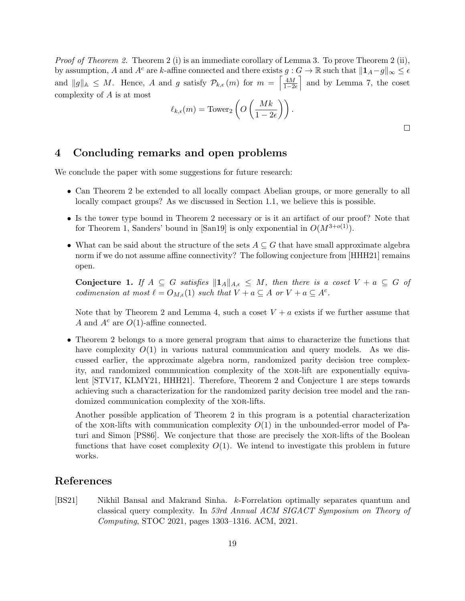*Proof of [Theorem 2.](#page-2-1)* [Theorem 2](#page-2-1) (i) is an immediate corollary of [Lemma 3.](#page-8-0) To prove [Theorem 2](#page-2-1) (ii), by assumption, A and A<sup>c</sup> are k-affine connected and there exists  $g: G \to \mathbb{R}$  such that  $||\mathbf{1}_A-g||_{\infty} \leq \epsilon$ and  $||g||_{\mathbb{A}} \leq M$ . Hence, A and g satisfy  $\mathcal{P}_{k,\epsilon}(m)$  for  $m = \left[\frac{4M}{1-2\epsilon}\right]$  and by [Lemma 7,](#page-13-0) the coset complexity of A is at most

$$
\ell_{k,\epsilon}(m) = \text{Tower}_2\left(O\left(\frac{Mk}{1-2\epsilon}\right)\right).
$$

# 4 Concluding remarks and open problems

We conclude the paper with some suggestions for future research:

- Can [Theorem 2](#page-2-1) be extended to all locally compact Abelian groups, or more generally to all locally compact groups? As we discussed in [Section 1.1,](#page-3-0) we believe this is possible.
- Is the tower type bound in [Theorem 2](#page-2-1) necessary or is it an artifact of our proof? Note that for [Theorem 1,](#page-1-0) Sanders' bound in [\[San19\]](#page-20-1) is only exponential in  $O(M^{3+o(1)})$ .
- What can be said about the structure of the sets  $A \subseteq G$  that have small approximate algebra norm if we do not assume affine connectivity? The following conjecture from [\[HHH21\]](#page-19-4) remains open.

<span id="page-18-0"></span>Conjecture 1. If  $A \subseteq G$  satisfies  $||1_A||_{A,\epsilon} \leq M$ , then there is a coset  $V + a \subseteq G$  of codimension at most  $\ell = O_{M,\epsilon}(1)$  such that  $V + a \subseteq A$  or  $V + a \subseteq A^c$ .

Note that by [Theorem 2](#page-2-1) and [Lemma 4,](#page-10-1) such a coset  $V + a$  exists if we further assume that A and  $A^c$  are  $O(1)$ -affine connected.

• [Theorem 2](#page-2-1) belongs to a more general program that aims to characterize the functions that have complexity  $O(1)$  in various natural communication and query models. As we discussed earlier, the approximate algebra norm, randomized parity decision tree complexity, and randomized communication complexity of the xor-lift are exponentially equivalent [\[STV17,](#page-20-0) [KLMY21,](#page-19-3) [HHH21\]](#page-19-4). Therefore, [Theorem 2](#page-2-1) and [Conjecture 1](#page-18-0) are steps towards achieving such a characterization for the randomized parity decision tree model and the randomized communication complexity of the xor-lifts.

Another possible application of [Theorem 2](#page-2-1) in this program is a potential characterization of the xor-lifts with communication complexity  $O(1)$  in the unbounded-error model of Paturi and Simon [\[PS86\]](#page-20-10). We conjecture that those are precisely the xor-lifts of the Boolean functions that have coset complexity  $O(1)$ . We intend to investigate this problem in future works.

# References

[BS21] Nikhil Bansal and Makrand Sinha. k-Forrelation optimally separates quantum and classical query complexity. In 53rd Annual ACM SIGACT Symposium on Theory of Computing, STOC 2021, pages 1303–1316. ACM, 2021.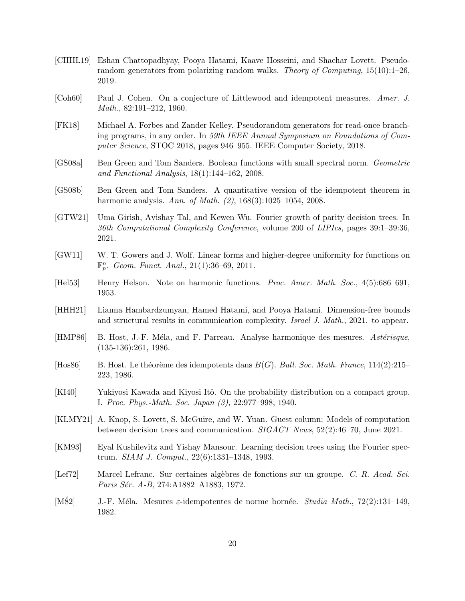- [CHHL19] Eshan Chattopadhyay, Pooya Hatami, Kaave Hosseini, and Shachar Lovett. Pseudorandom generators from polarizing random walks. Theory of Computing,  $15(10):1-26$ , 2019.
- <span id="page-19-1"></span>[Coh60] Paul J. Cohen. On a conjecture of Littlewood and idempotent measures. Amer. J. Math., 82:191–212, 1960.
- [FK18] Michael A. Forbes and Zander Kelley. Pseudorandom generators for read-once branching programs, in any order. In 59th IEEE Annual Symposium on Foundations of Computer Science, STOC 2018, pages 946–955. IEEE Computer Society, 2018.
- <span id="page-19-0"></span>[GS08a] Ben Green and Tom Sanders. Boolean functions with small spectral norm. Geometric and Functional Analysis, 18(1):144–162, 2008.
- <span id="page-19-2"></span>[GS08b] Ben Green and Tom Sanders. A quantitative version of the idempotent theorem in harmonic analysis. Ann. of Math. (2), 168(3):1025-1054, 2008.
- [GTW21] Uma Girish, Avishay Tal, and Kewen Wu. Fourier growth of parity decision trees. In 36th Computational Complexity Conference, volume 200 of LIPIcs, pages 39:1–39:36, 2021.
- <span id="page-19-7"></span>[GW11] W. T. Gowers and J. Wolf. Linear forms and higher-degree uniformity for functions on  $\mathbb{F}_p^n$ . Geom. Funct. Anal., 21(1):36–69, 2011.
- <span id="page-19-9"></span>[Hel53] Henry Helson. Note on harmonic functions. Proc. Amer. Math. Soc., 4(5):686–691, 1953.
- <span id="page-19-4"></span>[HHH21] Lianna Hambardzumyan, Hamed Hatami, and Pooya Hatami. Dimension-free bounds and structural results in communication complexity. Israel J. Math., 2021. to appear.
- <span id="page-19-6"></span>[HMP86] B. Host, J.-F. Méla, and F. Parreau. Analyse harmonique des mesures. Astérisque, (135-136):261, 1986.
- <span id="page-19-11"></span>[Hos86] B. Host. Le théorème des idempotents dans  $B(G)$ . Bull. Soc. Math. France, 114(2):215– 223, 1986.
- <span id="page-19-8"></span>[KI40] Yukiyosi Kawada and Kiyosi Itô. On the probability distribution on a compact group. I. Proc. Phys.-Math. Soc. Japan (3), 22:977–998, 1940.
- <span id="page-19-3"></span>[KLMY21] A. Knop, S. Lovett, S. McGuire, and W. Yuan. Guest column: Models of computation between decision trees and communication. SIGACT News, 52(2):46–70, June 2021.
- [KM93] Eyal Kushilevitz and Yishay Mansour. Learning decision trees using the Fourier spectrum. SIAM J. Comput., 22(6):1331–1348, 1993.
- <span id="page-19-10"></span>[Lef72] Marcel Lefranc. Sur certaines algèbres de fonctions sur un groupe. C. R. Acad. Sci. Paris Sér. A-B, 274:A1882–A1883, 1972.
- <span id="page-19-5"></span>[M82] J.-F. Méla. Mesures  $\varepsilon$ -idempotentes de norme bornée. Studia Math., 72(2):131–149, 1982.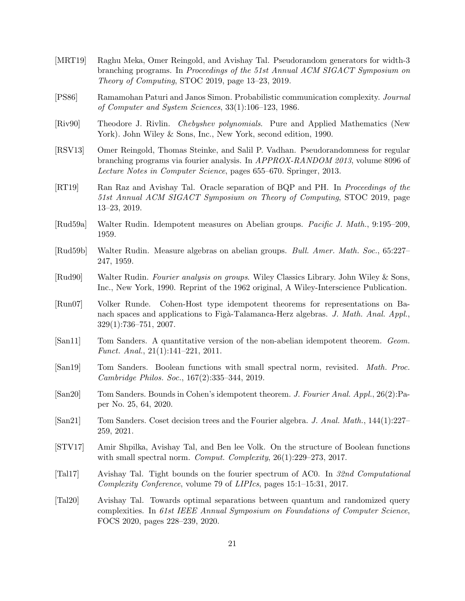- [MRT19] Raghu Meka, Omer Reingold, and Avishay Tal. Pseudorandom generators for width-3 branching programs. In Proceedings of the 51st Annual ACM SIGACT Symposium on Theory of Computing, STOC 2019, page 13–23, 2019.
- <span id="page-20-10"></span>[PS86] Ramamohan Paturi and Janos Simon. Probabilistic communication complexity. Journal of Computer and System Sciences, 33(1):106–123, 1986.
- <span id="page-20-9"></span>[Riv90] Theodore J. Rivlin. Chebyshev polynomials. Pure and Applied Mathematics (New York). John Wiley & Sons, Inc., New York, second edition, 1990.
- [RSV13] Omer Reingold, Thomas Steinke, and Salil P. Vadhan. Pseudorandomness for regular branching programs via fourier analysis. In APPROX-RANDOM 2013, volume 8096 of Lecture Notes in Computer Science, pages 655–670. Springer, 2013.
- [RT19] Ran Raz and Avishay Tal. Oracle separation of BQP and PH. In Proceedings of the 51st Annual ACM SIGACT Symposium on Theory of Computing, STOC 2019, page 13–23, 2019.
- <span id="page-20-2"></span>[Rud59a] Walter Rudin. Idempotent measures on Abelian groups. Pacific J. Math., 9:195–209, 1959.
- <span id="page-20-3"></span>[Rud59b] Walter Rudin. Measure algebras on abelian groups. Bull. Amer. Math. Soc., 65:227– 247, 1959.
- <span id="page-20-8"></span>[Rud90] Walter Rudin. Fourier analysis on groups. Wiley Classics Library. John Wiley & Sons, Inc., New York, 1990. Reprint of the 1962 original, A Wiley-Interscience Publication.
- <span id="page-20-4"></span>[Run07] Volker Runde. Cohen-Host type idempotent theorems for representations on Banach spaces and applications to Figà-Talamanca-Herz algebras. J. Math. Anal. Appl., 329(1):736–751, 2007.
- <span id="page-20-5"></span>[San11] Tom Sanders. A quantitative version of the non-abelian idempotent theorem. Geom. Funct. Anal., 21(1):141–221, 2011.
- <span id="page-20-1"></span>[San19] Tom Sanders. Boolean functions with small spectral norm, revisited. Math. Proc. Cambridge Philos. Soc., 167(2):335–344, 2019.
- <span id="page-20-6"></span>[San20] Tom Sanders. Bounds in Cohen's idempotent theorem. J. Fourier Anal. Appl., 26(2):Paper No. 25, 64, 2020.
- <span id="page-20-7"></span>[San21] Tom Sanders. Coset decision trees and the Fourier algebra. J. Anal. Math., 144(1):227– 259, 2021.
- <span id="page-20-0"></span>[STV17] Amir Shpilka, Avishay Tal, and Ben lee Volk. On the structure of Boolean functions with small spectral norm. *Comput. Complexity*,  $26(1):229-273$ ,  $2017$ .
- [Tal17] Avishay Tal. Tight bounds on the fourier spectrum of AC0. In 32nd Computational Complexity Conference, volume 79 of LIPIcs, pages 15:1–15:31, 2017.
- [Tal20] Avishay Tal. Towards optimal separations between quantum and randomized query complexities. In 61st IEEE Annual Symposium on Foundations of Computer Science, FOCS 2020, pages 228–239, 2020.